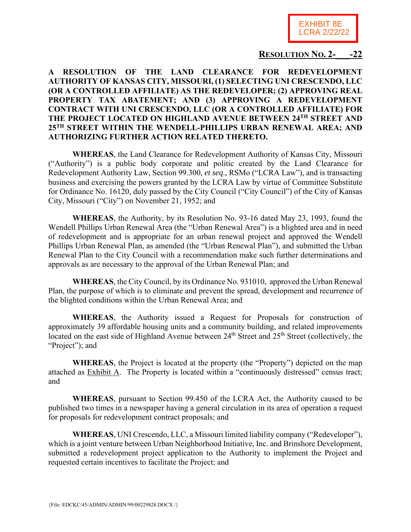

## **RESOLUTION NO. 2-\_\_\_-22**

## **A RESOLUTION OF THE LAND CLEARANCE FOR REDEVELOPMENT AUTHORITY OF KANSAS CITY, MISSOURI, (1) SELECTING UNI CRESCENDO, LLC (OR A CONTROLLED AFFILIATE) AS THE REDEVELOPER; (2) APPROVING REAL PROPERTY TAX ABATEMENT; AND (3) APPROVING A REDEVELOPMENT CONTRACT WITH UNI CRESCENDO, LLC (OR A CONTROLLED AFFILIATE) FOR THE PROJECT LOCATED ON HIGHLAND AVENUE BETWEEN 24TH STREET AND 25TH STREET WITHIN THE WENDELL-PHILLIPS URBAN RENEWAL AREA; AND AUTHORIZING FURTHER ACTION RELATED THERETO.**

**WHEREAS**, the Land Clearance for Redevelopment Authority of Kansas City, Missouri ("Authority") is a public body corporate and politic created by the Land Clearance for Redevelopment Authority Law, Section 99.300, *et seq*., RSMo ("LCRA Law"), and is transacting business and exercising the powers granted by the LCRA Law by virtue of Committee Substitute for Ordinance No. 16120, duly passed by the City Council ("City Council") of the City of Kansas City, Missouri ("City") on November 21, 1952; and

**WHEREAS**, the Authority, by its Resolution No. 93-16 dated May 23, 1993, found the Wendell Phillips Urban Renewal Area (the "Urban Renewal Area") is a blighted area and in need of redevelopment and is appropriate for an urban renewal project and approved the Wendell Phillips Urban Renewal Plan, as amended (the "Urban Renewal Plan"), and submitted the Urban Renewal Plan to the City Council with a recommendation make such further determinations and approvals as are necessary to the approval of the Urban Renewal Plan; and

**WHEREAS**, the City Council, by its Ordinance No. 931010, approved the Urban Renewal Plan, the purpose of which is to eliminate and prevent the spread, development and recurrence of the blighted conditions within the Urban Renewal Area; and

**WHEREAS**, the Authority issued a Request for Proposals for construction of approximately 39 affordable housing units and a community building, and related improvements located on the east side of Highland Avenue between 24<sup>th</sup> Street and 25<sup>th</sup> Street (collectively, the "Project"); and

**WHEREAS**, the Project is located at the property (the "Property") depicted on the map attached as Exhibit A. The Property is located within a "continuously distressed" census tract; and

**WHEREAS**, pursuant to Section 99.450 of the LCRA Act, the Authority caused to be published two times in a newspaper having a general circulation in its area of operation a request for proposals for redevelopment contract proposals; and

**WHEREAS**, UNI Crescendo, LLC, a Missouri limited liability company ("Redeveloper"), which is a joint venture between Urban Neighborhood Initiative, Inc. and Brinshore Development, submitted a redevelopment project application to the Authority to implement the Project and requested certain incentives to facilitate the Project; and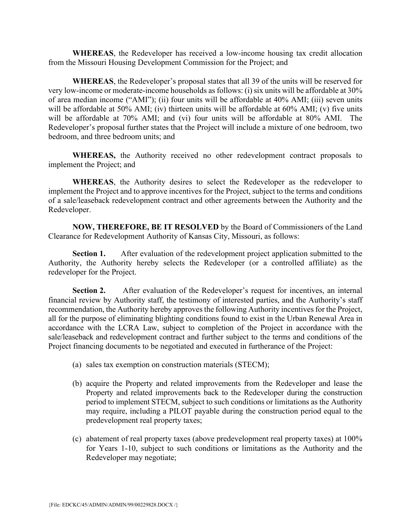**WHEREAS**, the Redeveloper has received a low-income housing tax credit allocation from the Missouri Housing Development Commission for the Project; and

**WHEREAS**, the Redeveloper's proposal states that all 39 of the units will be reserved for very low-income or moderate-income households as follows: (i) six units will be affordable at 30% of area median income ("AMI"); (ii) four units will be affordable at 40% AMI; (iii) seven units will be affordable at 50% AMI; (iv) thirteen units will be affordable at 60% AMI; (v) five units will be affordable at 70% AMI; and (vi) four units will be affordable at 80% AMI. The Redeveloper's proposal further states that the Project will include a mixture of one bedroom, two bedroom, and three bedroom units; and

**WHEREAS,** the Authority received no other redevelopment contract proposals to implement the Project; and

**WHEREAS**, the Authority desires to select the Redeveloper as the redeveloper to implement the Project and to approve incentives for the Project, subject to the terms and conditions of a sale/leaseback redevelopment contract and other agreements between the Authority and the Redeveloper.

**NOW, THEREFORE, BE IT RESOLVED** by the Board of Commissioners of the Land Clearance for Redevelopment Authority of Kansas City, Missouri, as follows:

**Section 1.** After evaluation of the redevelopment project application submitted to the Authority, the Authority hereby selects the Redeveloper (or a controlled affiliate) as the redeveloper for the Project.

**Section 2.** After evaluation of the Redeveloper's request for incentives, an internal financial review by Authority staff, the testimony of interested parties, and the Authority's staff recommendation, the Authority hereby approves the following Authority incentives for the Project, all for the purpose of eliminating blighting conditions found to exist in the Urban Renewal Area in accordance with the LCRA Law, subject to completion of the Project in accordance with the sale/leaseback and redevelopment contract and further subject to the terms and conditions of the Project financing documents to be negotiated and executed in furtherance of the Project:

- (a) sales tax exemption on construction materials (STECM);
- (b) acquire the Property and related improvements from the Redeveloper and lease the Property and related improvements back to the Redeveloper during the construction period to implement STECM, subject to such conditions or limitations as the Authority may require, including a PILOT payable during the construction period equal to the predevelopment real property taxes;
- (c) abatement of real property taxes (above predevelopment real property taxes) at 100% for Years 1-10, subject to such conditions or limitations as the Authority and the Redeveloper may negotiate;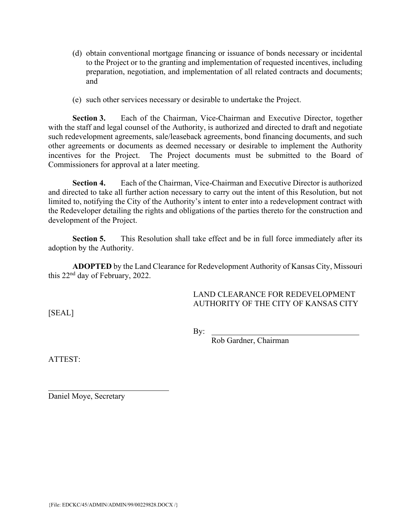- (d) obtain conventional mortgage financing or issuance of bonds necessary or incidental to the Project or to the granting and implementation of requested incentives, including preparation, negotiation, and implementation of all related contracts and documents; and
- (e) such other services necessary or desirable to undertake the Project.

**Section 3.** Each of the Chairman, Vice-Chairman and Executive Director, together with the staff and legal counsel of the Authority, is authorized and directed to draft and negotiate such redevelopment agreements, sale/leaseback agreements, bond financing documents, and such other agreements or documents as deemed necessary or desirable to implement the Authority incentives for the Project. The Project documents must be submitted to the Board of Commissioners for approval at a later meeting.

**Section 4.** Each of the Chairman, Vice-Chairman and Executive Director is authorized and directed to take all further action necessary to carry out the intent of this Resolution, but not limited to, notifying the City of the Authority's intent to enter into a redevelopment contract with the Redeveloper detailing the rights and obligations of the parties thereto for the construction and development of the Project.

**Section 5.** This Resolution shall take effect and be in full force immediately after its adoption by the Authority.

**ADOPTED** by the Land Clearance for Redevelopment Authority of Kansas City, Missouri this 22nd day of February, 2022.

> LAND CLEARANCE FOR REDEVELOPMENT AUTHORITY OF THE CITY OF KANSAS CITY

[SEAL]

By:

Rob Gardner, Chairman

ATTEST:

 $\overline{a}$ 

Daniel Moye, Secretary